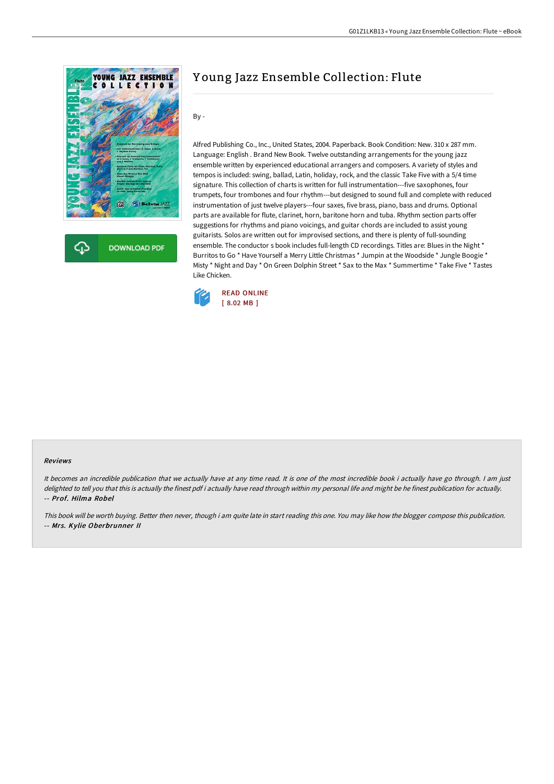

**DOWNLOAD PDF** 

# Y oung Jazz Ensemble Collection: Flute

By -

Alfred Publishing Co., Inc., United States, 2004. Paperback. Book Condition: New. 310 x 287 mm. Language: English . Brand New Book. Twelve outstanding arrangements for the young jazz ensemble written by experienced educational arrangers and composers. A variety of styles and tempos is included: swing, ballad, Latin, holiday, rock, and the classic Take Five with a 5/4 time signature. This collection of charts is written for full instrumentation---five saxophones, four trumpets, four trombones and four rhythm---but designed to sound full and complete with reduced instrumentation of just twelve players---four saxes, five brass, piano, bass and drums. Optional parts are available for flute, clarinet, horn, baritone horn and tuba. Rhythm section parts offer suggestions for rhythms and piano voicings, and guitar chords are included to assist young guitarists. Solos are written out for improvised sections, and there is plenty of full-sounding ensemble. The conductor s book includes full-length CD recordings. Titles are: Blues in the Night \* Burritos to Go \* Have Yourself a Merry Little Christmas \* Jumpin at the Woodside \* Jungle Boogie \* Misty \* Night and Day \* On Green Dolphin Street \* Sax to the Max \* Summertime \* Take Five \* Tastes Like Chicken.



#### Reviews

It becomes an incredible publication that we actually have at any time read. It is one of the most incredible book i actually have go through. <sup>I</sup> am just delighted to tell you that this is actually the finest pdf i actually have read through within my personal life and might be he finest publication for actually. -- Prof. Hilma Robel

This book will be worth buying. Better then never, though i am quite late in start reading this one. You may like how the blogger compose this publication. -- Mrs. Kylie Oberbrunner II